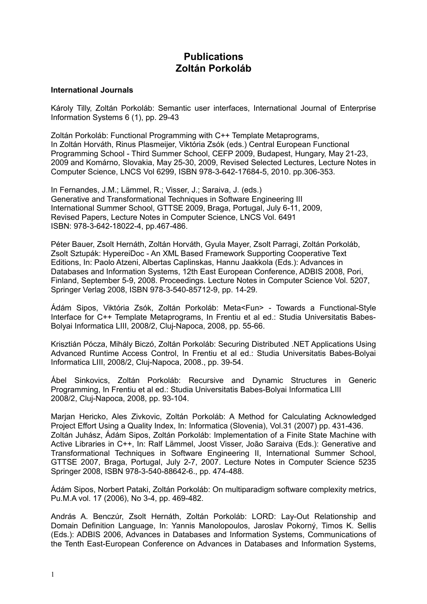# **Publications Zoltán Porkoláb**

## **International Journals**

Károly Tilly, Zoltán Porkoláb: Semantic user interfaces, International Journal of Enterprise Information Systems 6 (1), pp. 29-43

Zoltán Porkoláb: Functional Programming with C++ Template Metaprograms, In Zoltán Horváth, Rinus Plasmeijer, Viktória Zsók (eds.) Central European Functional Programming School - Third Summer School, CEFP 2009, Budapest, Hungary, May 21-23, 2009 and Komárno, Slovakia, May 25-30, 2009, Revised Selected Lectures, Lecture Notes in Computer Science, LNCS Vol 6299, ISBN 978-3-642-17684-5, 2010. pp.306-353.

In Fernandes, J.M.; Lämmel, R.; Visser, J.; Saraiva, J. (eds.) Generative and Transformational Techniques in Software Engineering III International Summer School, GTTSE 2009, Braga, Portugal, July 6-11, 2009, Revised Papers, Lecture Notes in Computer Science, LNCS Vol. 6491 ISBN: 978-3-642-18022-4, pp.467-486.

Péter Bauer, Zsolt Hernáth, Zoltán Horváth, Gyula Mayer, Zsolt Parragi, Zoltán Porkoláb, Zsolt Sztupák: HypereiDoc - An XML Based Framework Supporting Cooperative Text Editions, In: Paolo Atzeni, Albertas Caplinskas, Hannu Jaakkola (Eds.): Advances in Databases and Information Systems, 12th East European Conference, ADBIS 2008, Pori, Finland, September 5-9, 2008. Proceedings. Lecture Notes in Computer Science Vol. 5207, Springer Verlag 2008, ISBN 978-3-540-85712-9, pp. 14-29.

Ádám Sipos, Viktória Zsók, Zoltán Porkoláb: Meta<Fun> - Towards a Functional-Style Interface for C++ Template Metaprograms, In Frentiu et al ed.: Studia Universitatis Babes-Bolyai Informatica LIII, 2008/2, Cluj-Napoca, 2008, pp. 55-66.

Krisztián Pócza, Mihály Biczó, Zoltán Porkoláb: Securing Distributed .NET Applications Using Advanced Runtime Access Control, In Frentiu et al ed.: Studia Universitatis Babes-Bolyai Informatica LIII, 2008/2, Cluj-Napoca, 2008., pp. 39-54.

Ábel Sinkovics, Zoltán Porkoláb: Recursive and Dynamic Structures in Generic Programming, In Frentiu et al ed.: Studia Universitatis Babes-Bolyai Informatica LIII 2008/2, Cluj-Napoca, 2008, pp. 93-104.

Marjan Hericko, Ales Zivkovic, Zoltán Porkoláb: A Method for Calculating Acknowledged Project Effort Using a Quality Index, In: Informatica (Slovenia), Vol.31 (2007) pp. 431-436. Zoltán Juhász, Ádám Sipos, Zoltán Porkoláb: Implementation of a Finite State Machine with Active Libraries in C++, In: Ralf Lämmel, Joost Visser, João Saraiva (Eds.): Generative and Transformational Techniques in Software Engineering II, International Summer School, GTTSE 2007, Braga, Portugal, July 2-7, 2007. Lecture Notes in Computer Science 5235 Springer 2008, ISBN 978-3-540-88642-6., pp. 474-488.

Ádám Sipos, Norbert Pataki, Zoltán Porkoláb: On multiparadigm software complexity metrics, Pu.M.A vol. 17 (2006), No 3-4, pp. 469-482.

András A. Benczúr, Zsolt Hernáth, Zoltán Porkoláb: LORD: Lay-Out Relationship and Domain Definition Language, In: Yannis Manolopoulos, Jaroslav Pokorný, Timos K. Sellis (Eds.): ADBIS 2006, Advances in Databases and Information Systems, Communications of the Tenth East-European Conference on Advances in Databases and Information Systems,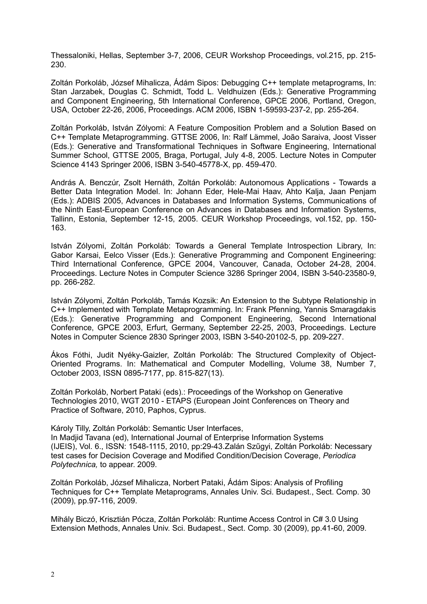Thessaloniki, Hellas, September 3-7, 2006, CEUR Workshop Proceedings, vol.215, pp. 215- 230.

Zoltán Porkoláb, József Mihalicza, Ádám Sipos: Debugging C++ template metaprograms, In: Stan Jarzabek, Douglas C. Schmidt, Todd L. Veldhuizen (Eds.): Generative Programming and Component Engineering, 5th International Conference, GPCE 2006, Portland, Oregon, USA, October 22-26, 2006, Proceedings. ACM 2006, ISBN 1-59593-237-2, pp. 255-264.

Zoltán Porkoláb, István Zólyomi: A Feature Composition Problem and a Solution Based on C++ Template Metaprogramming. GTTSE 2006, In: Ralf Lämmel, João Saraiva, Joost Visser (Eds.): Generative and Transformational Techniques in Software Engineering, International Summer School, GTTSE 2005, Braga, Portugal, July 4-8, 2005. Lecture Notes in Computer Science 4143 Springer 2006, ISBN 3-540-45778-X, pp. 459-470.

András A. Benczúr, Zsolt Hernáth, Zoltán Porkoláb: Autonomous Applications - Towards a Better Data Integration Model. In: Johann Eder, Hele-Mai Haav, Ahto Kalja, Jaan Penjam (Eds.): ADBIS 2005, Advances in Databases and Information Systems, Communications of the Ninth East-European Conference on Advances in Databases and Information Systems, Tallinn, Estonia, September 12-15, 2005. CEUR Workshop Proceedings, vol.152, pp. 150- 163.

István Zólyomi, Zoltán Porkoláb: Towards a General Template Introspection Library, In: Gabor Karsai, Eelco Visser (Eds.): Generative Programming and Component Engineering: Third International Conference, GPCE 2004, Vancouver, Canada, October 24-28, 2004. Proceedings. Lecture Notes in Computer Science 3286 Springer 2004, ISBN 3-540-23580-9, pp. 266-282.

István Zólyomi, Zoltán Porkoláb, Tamás Kozsik: An Extension to the Subtype Relationship in C++ Implemented with Template Metaprogramming. In: Frank Pfenning, Yannis Smaragdakis (Eds.): Generative Programming and Component Engineering, Second International Conference, GPCE 2003, Erfurt, Germany, September 22-25, 2003, Proceedings. Lecture Notes in Computer Science 2830 Springer 2003, ISBN 3-540-20102-5, pp. 209-227.

Ákos Fóthi, Judit Nyéky-Gaizler, Zoltán Porkoláb: The Structured Complexity of Object-Oriented Programs. In: Mathematical and Computer Modelling, Volume 38, Number 7, October 2003, ISSN 0895-7177, pp. 815-827(13).

Zoltán Porkoláb, Norbert Pataki (eds).: Proceedings of the Workshop on Generative Technologies 2010, WGT 2010 - ETAPS (European Joint Conferences on Theory and Practice of Software, 2010, Paphos, Cyprus.

Károly Tilly, Zoltán Porkoláb: Semantic User Interfaces, In Madjid Tavana (ed), International Journal of Enterprise Information Systems (IJEIS), Vol. 6., ISSN: 1548-1115, 2010, pp:29-43.Zalán Szűgyi, Zoltán Porkoláb: Necessary test cases for Decision Coverage and Modified Condition/Decision Coverage, *Periodica Polytechnica,* to appear. 2009.

Zoltán Porkoláb, József Mihalicza, Norbert Pataki, Ádám Sipos: Analysis of Profiling Techniques for C++ Template Metaprograms, Annales Univ. Sci. Budapest., Sect. Comp. 30 (2009), pp.97-116, 2009.

Mihály Biczó, Krisztián Pócza, Zoltán Porkoláb: Runtime Access Control in C# 3.0 Using Extension Methods, Annales Univ. Sci. Budapest., Sect. Comp. 30 (2009), pp.41-60, 2009.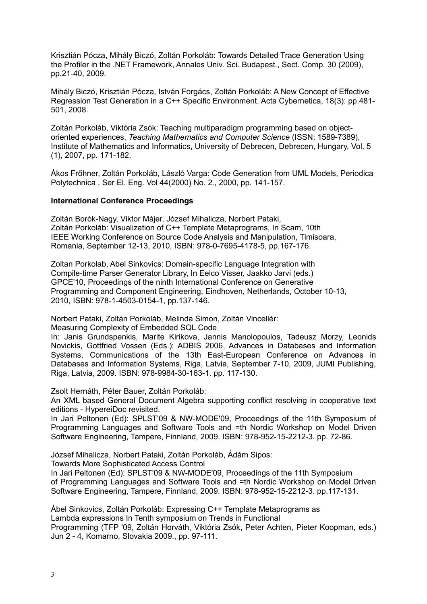Krisztián Pócza, Mihály Biczó, Zoltán Porkoláb: Towards Detailed Trace Generation Using the Profiler in the .NET Framework, Annales Univ. Sci. Budapest., Sect. Comp. 30 (2009), pp.21-40, 2009.

Mihály Biczó, Krisztián Pócza, István Forgács, Zoltán Porkoláb: A New Concept of Effective Regression Test Generation in a C++ Specific Environment. Acta Cybernetica, 18(3): pp.481- 501, 2008.

Zoltán Porkoláb, Viktória Zsók: Teaching multiparadigm programming based on objectoriented experiences, *Teaching Mathematics and Computer Science* (ISSN: 1589-7389), Institute of Mathematics and Informatics, University of Debrecen, Debrecen, Hungary, Vol. 5 (1), 2007, pp. 171-182.

Ákos Frőhner, Zoltán Porkoláb, László Varga: Code Generation from UML Models, Periodica Polytechnica , Ser El. Eng. Vol 44(2000) No. 2., 2000, pp. 141-157.

# **International Conference Proceedings**

Zoltán Borók-Nagy, Viktor Májer, József Mihalicza, Norbert Pataki, Zoltán Porkoláb: Visualization of C++ Template Metaprograms, In Scam, 10th IEEE Working Conference on Source Code Analysis and Manipulation, Timisoara, Romania, September 12-13, 2010, ISBN: 978-0-7695-4178-5, pp.167-176.

Zoltan Porkolab, Abel Sinkovics: Domain-specific Language Integration with Compile-time Parser Generator Library, In Eelco Visser, Jaakko Jarvi (eds.) GPCE'10, Proceedings of the ninth International Conference on Generative Programming and Component Engineering, Eindhoven, Netherlands, October 10-13, 2010, ISBN: 978-1-4503-0154-1, pp.137-146.

Norbert Pataki, Zoltán Porkoláb, Melinda Simon, Zoltán Vincellér:

Measuring Complexity of Embedded SQL Code

In: Janis Grundspenkis, Marite Kirikova, Jannis Manolopoulos, Tadeusz Morzy, Leonids Novickis, Gottfried Vossen (Eds.): ADBIS 2006, Advances in Databases and Information Systems, Communications of the 13th East-European Conference on Advances in Databases and Information Systems, Riga, Latvia, September 7-10, 2009, JUMI Publishing, Riga, Latvia, 2009. ISBN: 978-9984-30-163-1. pp. 117-130.

Zsolt Hernáth, Péter Bauer, Zoltán Porkoláb:

An XML based General Document Algebra supporting conflict resolving in cooperative text editions - HypereiDoc revisited.

In Jari Peltonen (Ed): SPLST'09 & NW-MODE'09, Proceedings of the 11th Symposium of Programming Languages and Software Tools and =th Nordic Workshop on Model Driven Software Engineering, Tampere, Finnland, 2009. ISBN: 978-952-15-2212-3. pp. 72-86.

József Mihalicza, Norbert Pataki, Zoltán Porkoláb, Ádám Sipos:

Towards More Sophisticated Access Control

In Jari Peltonen (Ed): SPLST'09 & NW-MODE'09, Proceedings of the 11th Symposium of Programming Languages and Software Tools and =th Nordic Workshop on Model Driven Software Engineering, Tampere, Finnland, 2009. ISBN: 978-952-15-2212-3. pp.117-131.

Ábel Sinkovics, Zoltán Porkoláb: Expressing C++ Template Metaprograms as Lambda expressions In Tenth symposium on Trends in Functional Programming (TFP '09, Zoltán Horváth, Viktória Zsók, Peter Achten, Pieter Koopman, eds.) Jun 2 - 4, Komarno, Slovakia 2009., pp. 97-111.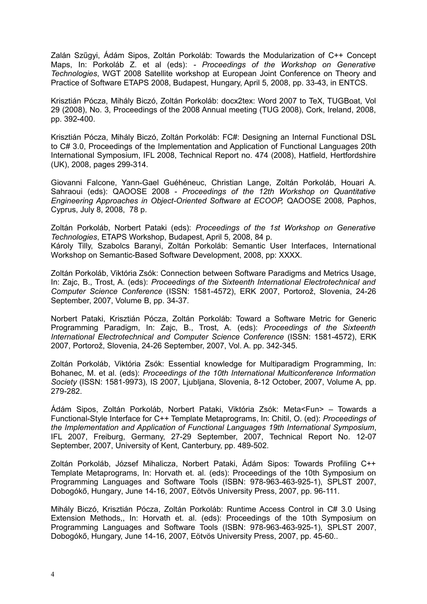Zalán Szűgyi, Ádám Sipos, Zoltán Porkoláb: Towards the Modularization of C++ Concept Maps, In: Porkoláb Z. et al (eds): *- Proceedings of the Workshop on Generative Technologies*, WGT 2008 Satellite workshop at European Joint Conference on Theory and Practice of Software ETAPS 2008, Budapest, Hungary, April 5, 2008, pp. 33-43, in ENTCS.

Krisztián Pócza, Mihály Biczó, Zoltán Porkoláb: docx2tex: Word 2007 to TeX, TUGBoat, Vol 29 (2008), No. 3, Proceedings of the 2008 Annual meeting (TUG 2008), Cork, Ireland, 2008, pp. 392-400.

Krisztián Pócza, Mihály Biczó, Zoltán Porkoláb: FC#: Designing an Internal Functional DSL to C# 3.0, Proceedings of the Implementation and Application of Functional Languages 20th International Symposium, IFL 2008, Technical Report no. 474 (2008), Hatfield, Hertfordshire (UK), 2008, pages 299-314.

Giovanni Falcone, Yann-Gael Guéhéneuc, Christian Lange, Zoltán Porkoláb, Houari A. Sahraoui (eds): QAOOSE 2008 - *Proceedings of the 12th Workshop on Quantitative Engineering Approaches in Object-Oriented Software at ECOOP,* QAOOSE 2008*,* Paphos, Cyprus, July 8, 2008, 78 p.

Zoltán Porkoláb, Norbert Pataki (eds): *Proceedings of the 1st Workshop on Generative Technologies*, ETAPS Workshop, Budapest, April 5, 2008, 84 p. Károly Tilly, Szabolcs Baranyi, Zoltán Porkoláb: Semantic User Interfaces, International Workshop on Semantic-Based Software Development, 2008, pp: XXXX.

Zoltán Porkoláb, Viktória Zsók: Connection between Software Paradigms and Metrics Usage, In: Zajc, B., Trost, A. (eds): *Proceedings of the Sixteenth International Electrotechnical and Computer Science Conference* (ISSN: 1581-4572), ERK 2007, Portorož, Slovenia, 24-26 September, 2007, Volume B, pp. 34-37.

Norbert Pataki, Krisztián Pócza, Zoltán Porkoláb: Toward a Software Metric for Generic Programming Paradigm, In: Zajc, B., Trost, A. (eds): *Proceedings of the Sixteenth International Electrotechnical and Computer Science Conference* (ISSN: 1581-4572), ERK 2007, Portorož, Slovenia, 24-26 September, 2007, Vol. A. pp. 342-345.

Zoltán Porkoláb, Viktória Zsók: Essential knowledge for Multiparadigm Programming, In: Bohanec, M. et al. (eds): *Proceedings of the 10th International Multiconference Information Society* (ISSN: 1581-9973)*,* IS 2007, Ljubljana, Slovenia, 8-12 October, 2007, Volume A, pp. 279-282.

Ádám Sipos, Zoltán Porkoláb, Norbert Pataki, Viktória Zsók: Meta<Fun> – Towards a Functional-Style Interface for C++ Template Metaprograms, In: Chitil, O. (ed): *Proceedings of the Implementation and Application of Functional Languages 19th International Symposium*, IFL 2007, Freiburg, Germany, 27-29 September, 2007, Technical Report No. 12-07 September, 2007, University of Kent, Canterbury, pp. 489-502.

Zoltán Porkoláb, József Mihalicza, Norbert Pataki, Ádám Sipos: Towards Profiling C++ Template Metaprograms, In: Horvath et. al. (eds): Proceedings of the 10th Symposium on Programming Languages and Software Tools (ISBN: 978-963-463-925-1), SPLST 2007, Dobogókő, Hungary, June 14-16, 2007, Eötvös University Press, 2007, pp. 96-111.

Mihály Biczó, Krisztián Pócza, Zoltán Porkoláb: Runtime Access Control in C# 3.0 Using Extension Methods,, In: Horvath et. al. (eds): Proceedings of the 10th Symposium on Programming Languages and Software Tools (ISBN: 978-963-463-925-1), SPLST 2007, Dobogókő, Hungary, June 14-16, 2007, Eötvös University Press, 2007, pp. 45-60..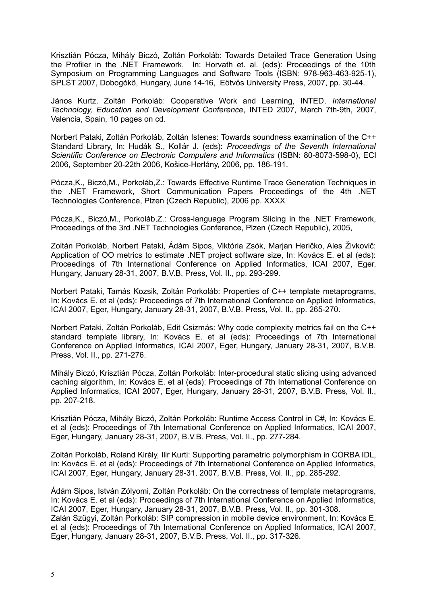Krisztián Pócza, Mihály Biczó, Zoltán Porkoláb: Towards Detailed Trace Generation Using the Profiler in the .NET Framework, In: Horvath et. al. (eds): Proceedings of the 10th Symposium on Programming Languages and Software Tools (ISBN: 978-963-463-925-1), SPLST 2007, Dobogókő, Hungary, June 14-16, Eötvös University Press, 2007, pp. 30-44.

János Kurtz, Zoltán Porkoláb: Cooperative Work and Learning, INTED, *International Technology, Education and Development Conference*, INTED 2007, March 7th-9th, 2007, Valencia, Spain, 10 pages on cd.

Norbert Pataki, Zoltán Porkoláb, Zoltán Istenes: Towards soundness examination of the C++ Standard Library, In: Hudák S., Kollár J. (eds): *Proceedings of the Seventh International Scientific Conference on Electronic Computers and Informatics* (ISBN: 80-8073-598-0), ECI 2006, September 20-22th 2006, Košice-Herlány, 2006, pp. 186-191.

Pócza,K., Biczó,M., Porkoláb,Z.: Towards Effective Runtime Trace Generation Techniques in the .NET Framework, Short Communication Papers Proceedings of the 4th .NET Technologies Conference, Plzen (Czech Republic), 2006 pp. XXXX

Pócza,K., Biczó,M., Porkoláb,Z.: Cross-language Program Slicing in the .NET Framework, Proceedings of the 3rd .NET Technologies Conference, Plzen (Czech Republic), 2005,

Zoltán Porkoláb, Norbert Pataki, Ádám Sipos, Viktória Zsók, Marjan Heričko, Ales Živkovič: Application of OO metrics to estimate .NET project software size, In: Kovács E. et al (eds): Proceedings of 7th International Conference on Applied Informatics, ICAI 2007, Eger, Hungary, January 28-31, 2007, B.V.B. Press, Vol. II., pp. 293-299.

Norbert Pataki, Tamás Kozsik, Zoltán Porkoláb: Properties of C++ template metaprograms, In: Kovács E. et al (eds): Proceedings of 7th International Conference on Applied Informatics, ICAI 2007, Eger, Hungary, January 28-31, 2007, B.V.B. Press, Vol. II., pp. 265-270.

Norbert Pataki, Zoltán Porkoláb, Edit Csizmás: Why code complexity metrics fail on the C++ standard template library, In: Kovács E. et al (eds): Proceedings of 7th International Conference on Applied Informatics, ICAI 2007, Eger, Hungary, January 28-31, 2007, B.V.B. Press, Vol. II., pp. 271-276.

Mihály Biczó, Krisztián Pócza, Zoltán Porkoláb: Inter-procedural static slicing using advanced caching algorithm, In: Kovács E. et al (eds): Proceedings of 7th International Conference on Applied Informatics, ICAI 2007, Eger, Hungary, January 28-31, 2007, B.V.B. Press, Vol. II., pp. 207-218.

Krisztián Pócza, Mihály Biczó, Zoltán Porkoláb: Runtime Access Control in C#, In: Kovács E. et al (eds): Proceedings of 7th International Conference on Applied Informatics, ICAI 2007, Eger, Hungary, January 28-31, 2007, B.V.B. Press, Vol. II., pp. 277-284.

Zoltán Porkoláb, Roland Király, Ilir Kurti: Supporting parametric polymorphism in CORBA IDL, In: Kovács E. et al (eds): Proceedings of 7th International Conference on Applied Informatics, ICAI 2007, Eger, Hungary, January 28-31, 2007, B.V.B. Press, Vol. II., pp. 285-292.

Ádám Sipos, István Zólyomi, Zoltán Porkoláb: On the correctness of template metaprograms, In: Kovács E. et al (eds): Proceedings of 7th International Conference on Applied Informatics, ICAI 2007, Eger, Hungary, January 28-31, 2007, B.V.B. Press, Vol. II., pp. 301-308. Zalán Szűgyi, Zoltán Porkoláb: SIP compression in mobile device environment, In: Kovács E. et al (eds): Proceedings of 7th International Conference on Applied Informatics, ICAI 2007, Eger, Hungary, January 28-31, 2007, B.V.B. Press, Vol. II., pp. 317-326.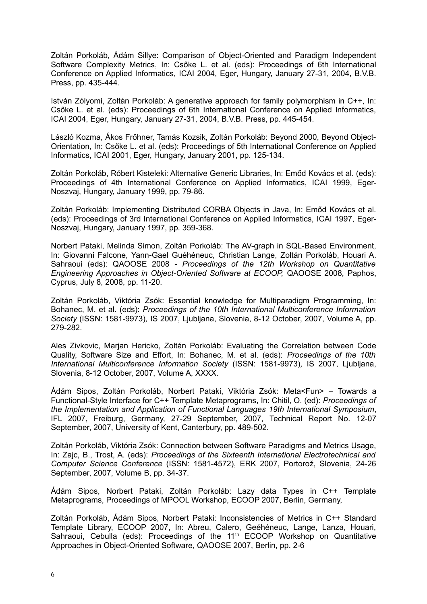Zoltán Porkoláb, Ádám Sillye: Comparison of Object-Oriented and Paradigm Independent Software Complexity Metrics, In: Csőke L. et al. (eds): Proceedings of 6th International Conference on Applied Informatics, ICAI 2004, Eger, Hungary, January 27-31, 2004, B.V.B. Press, pp. 435-444.

István Zólyomi, Zoltán Porkoláb: A generative approach for family polymorphism in C++, In: Csőke L. et al. (eds): Proceedings of 6th International Conference on Applied Informatics, ICAI 2004, Eger, Hungary, January 27-31, 2004, B.V.B. Press, pp. 445-454.

László Kozma, Ákos Frőhner, Tamás Kozsik, Zoltán Porkoláb: Beyond 2000, Beyond Object-Orientation, In: Csőke L. et al. (eds): Proceedings of 5th International Conference on Applied Informatics, ICAI 2001, Eger, Hungary, January 2001, pp. 125-134.

Zoltán Porkoláb, Róbert Kisteleki: Alternative Generic Libraries, In: Emőd Kovács et al. (eds): Proceedings of 4th International Conference on Applied Informatics, ICAI 1999, Eger-Noszvaj, Hungary, January 1999, pp. 79-86.

Zoltán Porkoláb: Implementing Distributed CORBA Objects in Java, In: Emőd Kovács et al. (eds): Proceedings of 3rd International Conference on Applied Informatics, ICAI 1997, Eger-Noszvaj, Hungary, January 1997, pp. 359-368.

Norbert Pataki, Melinda Simon, Zoltán Porkoláb: The AV-graph in SQL-Based Environment, In: Giovanni Falcone, Yann-Gael Guéhéneuc, Christian Lange, Zoltán Porkoláb, Houari A. Sahraoui (eds): QAOOSE 2008 - *Proceedings of the 12th Workshop on Quantitative Engineering Approaches in Object-Oriented Software at ECOOP,* QAOOSE 2008*,* Paphos, Cyprus, July 8, 2008, pp. 11-20.

Zoltán Porkoláb, Viktória Zsók: Essential knowledge for Multiparadigm Programming, In: Bohanec, M. et al. (eds): *Proceedings of the 10th International Multiconference Information Society* (ISSN: 1581-9973)*,* IS 2007, Ljubljana, Slovenia, 8-12 October, 2007, Volume A, pp. 279-282.

Ales Zivkovic, Marjan Hericko, Zoltán Porkoláb: Evaluating the Correlation between Code Quality, Software Size and Effort, In: Bohanec, M. et al. (eds): *Proceedings of the 10th International Multiconference Information Society* (ISSN: 1581-9973)*,* IS 2007, Ljubljana, Slovenia, 8-12 October, 2007, Volume A, XXXX.

Ádám Sipos, Zoltán Porkoláb, Norbert Pataki, Viktória Zsók: Meta<Fun> – Towards a Functional-Style Interface for C++ Template Metaprograms, In: Chitil, O. (ed): *Proceedings of the Implementation and Application of Functional Languages 19th International Symposium*, IFL 2007, Freiburg, Germany, 27-29 September, 2007, Technical Report No. 12-07 September, 2007, University of Kent, Canterbury, pp. 489-502.

Zoltán Porkoláb, Viktória Zsók: Connection between Software Paradigms and Metrics Usage, In: Zajc, B., Trost, A. (eds): *Proceedings of the Sixteenth International Electrotechnical and Computer Science Conference* (ISSN: 1581-4572), ERK 2007, Portorož, Slovenia, 24-26 September, 2007, Volume B, pp. 34-37.

Ádám Sipos, Norbert Pataki, Zoltán Porkoláb: Lazy data Types in C++ Template Metaprograms, Proceedings of MPOOL Workshop, ECOOP 2007, Berlin, Germany,

Zoltán Porkoláb, Ádám Sipos, Norbert Pataki: Inconsistencies of Metrics in C++ Standard Template Library, ECOOP 2007, In: Abreu, Calero, Geéhéneuc, Lange, Lanza, Houari, Sahraoui, Cebulla (eds): Proceedings of the 11<sup>th</sup> ECOOP Workshop on Quantitative Approaches in Object-Oriented Software, QAOOSE 2007, Berlin, pp. 2-6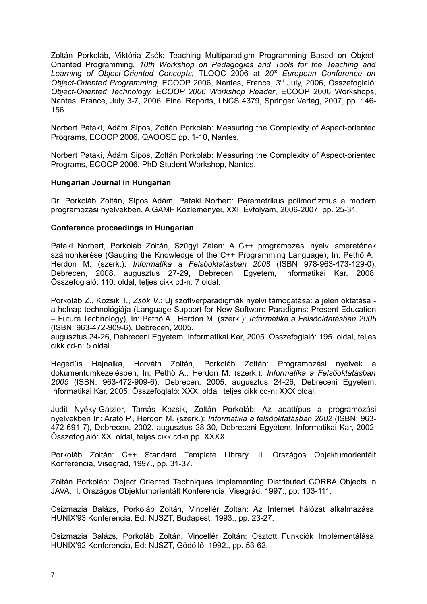Zoltán Porkoláb, Viktória Zsók: Teaching Multiparadigm Programming Based on Object-Oriented Programming, *10th Workshop on Pedagogies and Tools for the Teaching and Learning of Object-Oriented Concepts,* TLOOC 2006 at *20th European Conference on Object-Oriented Programming,* ECOOP 2006, Nantes, France, 3rd July, 2006, Összefoglaló: *Object-Oriented Technology, ECOOP 2006 Workshop Reader*, ECOOP 2006 Workshops, Nantes, France, July 3-7, 2006, Final Reports, LNCS 4379, Springer Verlag, 2007, pp. 146- 156.

Norbert Pataki, Ádám Sipos, Zoltán Porkoláb: Measuring the Complexity of Aspect-oriented Programs, ECOOP 2006, QAOOSE pp. 1-10, Nantes.

Norbert Pataki, Ádám Sipos, Zoltán Porkoláb: Measuring the Complexity of Aspect-oriented Programs, ECOOP 2006, PhD Student Workshop, Nantes.

## **Hungarian Journal in Hungarian**

Dr. Porkoláb Zoltán, Sipos Ádám, Pataki Norbert: Parametrikus polimorfizmus a modern programozási nyelvekben, A GAMF Közleményei, XXI. Évfolyam, 2006-2007, pp. 25-31.

## **Conference proceedings in Hungarian**

Pataki Norbert, Porkoláb Zoltán, Szűgyi Zalán: A C++ programozási nyelv ismeretének számonkérése (Gauging the Knowledge of the C++ Programming Language), In: Pethő A., Herdon M. (szerk.): *Informatika a Felsőoktatásban 2008* (ISBN 978-963-473-129-0), Debrecen, 2008. augusztus 27-29, Debreceni Egyetem, Informatikai Kar, 2008. Összefoglaló: 110. oldal, teljes cikk cd-n: 7 oldal.

Porkoláb Z., Kozsik T., *Zsók V*.: Új szoftverparadigmák nyelvi támogatása: a jelen oktatása a holnap technológiája (Language Support for New Software Paradigms: Present Education – Future Technology), In: Pethő A., Herdon M. (szerk.): *Informatika a Felsőoktatásban 2005* (ISBN: 963-472-909-6), Debrecen, 2005.

augusztus 24-26, Debreceni Egyetem, Informatikai Kar, 2005. Összefoglaló: 195. oldal, teljes cikk cd-n: 5 oldal.

Hegedűs Hajnalka, Horváth Zoltán, Porkoláb Zoltán: Programozási nyelvek a dokumentumkezelésben, In: Pethő A., Herdon M. (szerk.): *Informatika a Felsőoktatásban 2005* (ISBN: 963-472-909-6), Debrecen, 2005. augusztus 24-26, Debreceni Egyetem, Informatikai Kar, 2005. Összefoglaló: XXX. oldal, teljes cikk cd-n: XXX oldal.

Judit Nyéky-Gaizler, Tamás Kozsik, Zoltán Porkoláb: Az adattípus a programozási nyelvekben In: Arató P., Herdon M. (szerk.): *Informatika a felsőoktatásban 2002* (ISBN: 963- 472-691-7)*,* Debrecen, 2002. augusztus 28-30, Debreceni Egyetem, Informatikai Kar, 2002. Összefoglaló: XX. oldal, teljes cikk cd-n pp. XXXX.

Porkoláb Zoltán: C++ Standard Template Library, II. Országos Objektumorientált Konferencia, Visegrád, 1997., pp. 31-37.

Zoltán Porkoláb: Object Oriented Techniques Implementing Distributed CORBA Objects in JAVA, II. Országos Objektumorientált Konferencia, Visegrád, 1997., pp. 103-111.

Csizmazia Balázs, Porkoláb Zoltán, Vincellér Zoltán: Az Internet hálózat alkalmazása, HUNIX'93 Konferencia, Ed: NJSZT, Budapest, 1993., pp. 23-27.

Csizmazia Balázs, Porkoláb Zoltán, Vincellér Zoltán: Osztott Funkciók Implementálása, HUNIX'92 Konferencia, Ed: NJSZT, Gödöllő, 1992., pp. 53-62.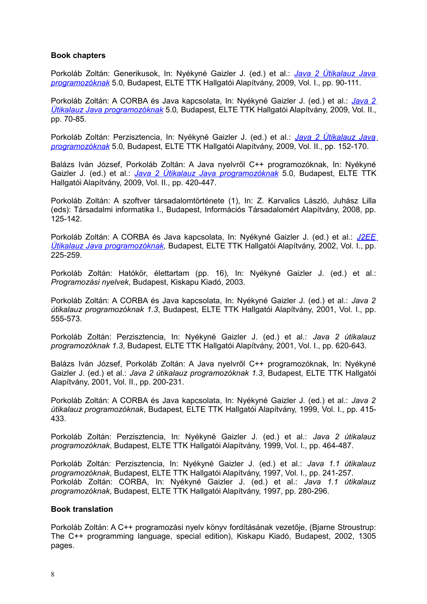# **Book chapters**

Porkoláb Zoltán: Generikusok, In: Nyékyné Gaizler J. (ed.) et al.: *[Java 2 Útikalauz Java](http://java.inf.elte.hu/) [programozóknak](http://java.inf.elte.hu/)* 5.0*,* Budapest, ELTE TTK Hallgatói Alapítvány, 2009, Vol. I., pp. 90-111.

Porkoláb Zoltán: A CORBA és Java kapcsolata, In: Nyékyné Gaizler J. (ed.) et al.: *[Java 2](http://java.inf.elte.hu/) [Útikalauz Java programozóknak](http://java.inf.elte.hu/)* 5.0*,* Budapest, ELTE TTK Hallgatói Alapítvány, 2009, Vol. II., pp. 70-85.

Porkoláb Zoltán: Perzisztencia, In: Nyékyné Gaizler J. (ed.) et al.: *[Java 2 Útikalauz Java](http://java.inf.elte.hu/) [programozóknak](http://java.inf.elte.hu/)* 5.0*,* Budapest, ELTE TTK Hallgatói Alapítvány, 2009, Vol. II., pp. 152-170.

Balázs Iván József, Porkoláb Zoltán: A Java nyelvről C++ programozóknak, In: Nyékyné Gaizler J. (ed.) et al.: *[Java 2 Útikalauz Java programozóknak](http://java.inf.elte.hu/)* 5.0*,* Budapest, ELTE TTK Hallgatói Alapítvány, 2009, Vol. II., pp. 420-447.

Porkoláb Zoltán: A szoftver társadalomtörténete (1), In: Z. Karvalics László, Juhász Lilla (eds): Társadalmi informatika I., Budapest, Információs Társadalomért Alapítvány, 2008, pp. 125-142.

Porkoláb Zoltán: A CORBA és Java kapcsolata, In: Nyékyné Gaizler J. (ed.) et al.: *[J2EE](http://java.inf.elte.hu/) [Útikalauz Java programozóknak,](http://java.inf.elte.hu/)* Budapest, ELTE TTK Hallgatói Alapítvány, 2002, Vol. I., pp. 225-259.

Porkoláb Zoltán: Hatókör, élettartam (pp. 16), In: Nyékyné Gaizler J. (ed.) et al.: *Programozási nyelvek*, Budapest, Kiskapu Kiadó, 2003.

Porkoláb Zoltán: A CORBA és Java kapcsolata, In: Nyékyné Gaizler J. (ed.) et al.: *Java 2 útikalauz programozóknak 1.3*, Budapest, ELTE TTK Hallgatói Alapítvány, 2001, Vol. I., pp. 555-573.

Porkoláb Zoltán: Perzisztencia, In: Nyékyné Gaizler J. (ed.) et al.: *Java 2 útikalauz programozóknak 1.3*, Budapest, ELTE TTK Hallgatói Alapítvány, 2001, Vol. I., pp. 620-643.

Balázs Iván József, Porkoláb Zoltán: A Java nyelvről C++ programozóknak, In: Nyékyné Gaizler J. (ed.) et al.: *Java 2 útikalauz programozóknak 1.3*, Budapest, ELTE TTK Hallgatói Alapítvány, 2001, Vol. II., pp. 200-231.

Porkoláb Zoltán: A CORBA és Java kapcsolata, In: Nyékyné Gaizler J. (ed.) et al.: *Java 2 útikalauz programozóknak*, Budapest, ELTE TTK Hallgatói Alapítvány, 1999, Vol. I., pp. 415- 433.

Porkoláb Zoltán: Perzisztencia, In: Nyékyné Gaizler J. (ed.) et al.: *Java 2 útikalauz programozóknak*, Budapest, ELTE TTK Hallgatói Alapítvány, 1999, Vol. I., pp. 464-487.

Porkoláb Zoltán: Perzisztencia, In: Nyékyné Gaizler J. (ed.) et al.: *Java 1.1 útikalauz programozóknak*, Budapest, ELTE TTK Hallgatói Alapítvány, 1997, Vol. I., pp. 241-257. Porkoláb Zoltán: CORBA, In: Nyékyné Gaizler J. (ed.) et al.: *Java 1.1 útikalauz programozóknak*, Budapest, ELTE TTK Hallgatói Alapítvány, 1997, pp. 280-296.

## **Book translation**

Porkoláb Zoltán: A C++ programozási nyelv könyv fordításának vezetője, (Bjarne Stroustrup: The C++ programming language, special edition), Kiskapu Kiadó, Budapest, 2002, 1305 pages.